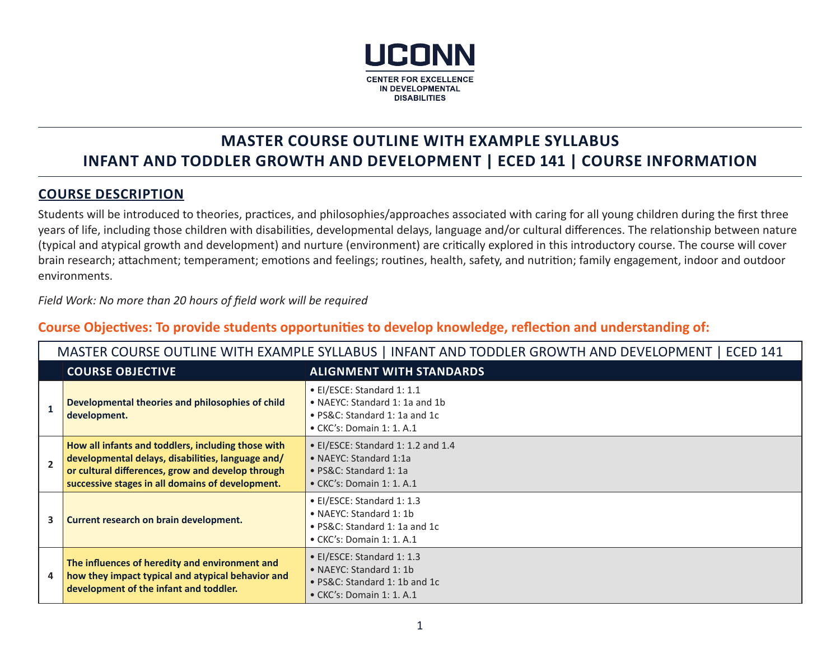

# **MASTER COURSE OUTLINE WITH EXAMPLE SYLLABUS INFANT AND TODDLER GROWTH AND DEVELOPMENT | ECED 141 | COURSE INFORMATION**

# **COURSE DESCRIPTION**

Students will be introduced to theories, practices, and philosophies/approaches associated with caring for all young children during the first three years of life, including those children with disabilities, developmental delays, language and/or cultural differences. The relationship between nature (typical and atypical growth and development) and nurture (environment) are critically explored in this introductory course. The course will cover brain research; attachment; temperament; emotions and feelings; routines, health, safety, and nutrition; family engagement, indoor and outdoor environments.

*Field Work: No more than 20 hours of field work will be required*

# **Course Objectives: To provide students opportunities to develop knowledge, reflection and understanding of:**

|              | MASTER COURSE OUTLINE WITH EXAMPLE SYLLABUS   INFANT AND TODDLER GROWTH AND DEVELOPMENT   ECED 141                                                                                                               |                                                                                                                                    |  |  |  |
|--------------|------------------------------------------------------------------------------------------------------------------------------------------------------------------------------------------------------------------|------------------------------------------------------------------------------------------------------------------------------------|--|--|--|
|              | <b>COURSE OBJECTIVE</b>                                                                                                                                                                                          | <b>ALIGNMENT WITH STANDARDS</b>                                                                                                    |  |  |  |
|              | Developmental theories and philosophies of child<br>development.                                                                                                                                                 | • El/ESCE: Standard 1: 1.1<br>• NAEYC: Standard 1: 1a and 1b<br>• PS&C: Standard 1: 1a and 1c<br>$\bullet$ CKC's: Domain 1: 1. A.1 |  |  |  |
| $\mathbf{z}$ | How all infants and toddlers, including those with<br>developmental delays, disabilities, language and/<br>or cultural differences, grow and develop through<br>successive stages in all domains of development. | • EI/ESCE: Standard 1: 1.2 and 1.4<br>• NAEYC: Standard 1:1a<br>• PS&C: Standard 1: 1a<br>$\bullet$ CKC's: Domain 1: 1. A.1        |  |  |  |
| 3            | Current research on brain development.                                                                                                                                                                           | • EI/ESCE: Standard 1: 1.3<br>• NAEYC: Standard 1: 1b<br>• PS&C: Standard 1: 1a and 1c<br>$\bullet$ CKC's: Domain 1: 1. A.1        |  |  |  |
|              | The influences of heredity and environment and<br>how they impact typical and atypical behavior and<br>development of the infant and toddler.                                                                    | • EI/ESCE: Standard 1: 1.3<br>• NAEYC: Standard 1: 1b<br>• PS&C: Standard 1: 1b and 1c<br>$\bullet$ CKC's: Domain 1: 1. A.1        |  |  |  |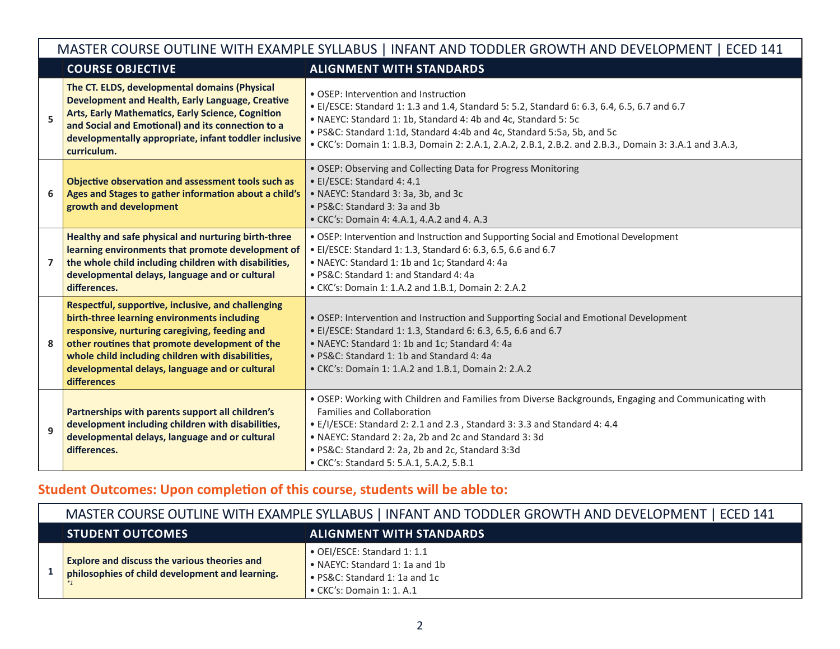|   | MASTER COURSE OUTLINE WITH EXAMPLE SYLLABUS   INFANT AND TODDLER GROWTH AND DEVELOPMENT   ECED 141                                                                                                                                                                                                                         |                                                                                                                                                                                                                                                                                                                                                                                           |  |  |  |
|---|----------------------------------------------------------------------------------------------------------------------------------------------------------------------------------------------------------------------------------------------------------------------------------------------------------------------------|-------------------------------------------------------------------------------------------------------------------------------------------------------------------------------------------------------------------------------------------------------------------------------------------------------------------------------------------------------------------------------------------|--|--|--|
|   | <b>COURSE OBJECTIVE</b>                                                                                                                                                                                                                                                                                                    | <b>ALIGNMENT WITH STANDARDS</b>                                                                                                                                                                                                                                                                                                                                                           |  |  |  |
| 5 | The CT. ELDS, developmental domains (Physical<br>Development and Health, Early Language, Creative<br>Arts, Early Mathematics, Early Science, Cognition<br>and Social and Emotional) and its connection to a<br>developmentally appropriate, infant toddler inclusive<br>curriculum.                                        | • OSEP: Intervention and Instruction<br>• El/ESCE: Standard 1: 1.3 and 1.4, Standard 5: 5.2, Standard 6: 6.3, 6.4, 6.5, 6.7 and 6.7<br>• NAEYC: Standard 1: 1b, Standard 4: 4b and 4c, Standard 5: 5c<br>. PS&C: Standard 1:1d, Standard 4:4b and 4c, Standard 5:5a, 5b, and 5c<br>• CKC's: Domain 1: 1.B.3, Domain 2: 2.A.1, 2.A.2, 2.B.1, 2.B.2. and 2.B.3., Domain 3: 3.A.1 and 3.A.3, |  |  |  |
| 6 | Objective observation and assessment tools such as<br>Ages and Stages to gather information about a child's<br>growth and development                                                                                                                                                                                      | • OSEP: Observing and Collecting Data for Progress Monitoring<br>• EI/ESCE: Standard 4: 4.1<br>• NAEYC: Standard 3: 3a, 3b, and 3c<br>• PS&C: Standard 3: 3a and 3b<br>• CKC's: Domain 4: 4.A.1, 4.A.2 and 4. A.3                                                                                                                                                                         |  |  |  |
| 7 | Healthy and safe physical and nurturing birth-three<br>learning environments that promote development of<br>the whole child including children with disabilities,<br>developmental delays, language and or cultural<br>differences.                                                                                        | • OSEP: Intervention and Instruction and Supporting Social and Emotional Development<br>• EI/ESCE: Standard 1: 1.3, Standard 6: 6.3, 6.5, 6.6 and 6.7<br>• NAEYC: Standard 1: 1b and 1c; Standard 4: 4a<br>• PS&C: Standard 1: and Standard 4: 4a<br>• CKC's: Domain 1: 1.A.2 and 1.B.1, Domain 2: 2.A.2                                                                                  |  |  |  |
| 8 | Respectful, supportive, inclusive, and challenging<br>birth-three learning environments including<br>responsive, nurturing caregiving, feeding and<br>other routines that promote development of the<br>whole child including children with disabilities,<br>developmental delays, language and or cultural<br>differences | • OSEP: Intervention and Instruction and Supporting Social and Emotional Development<br>• EI/ESCE: Standard 1: 1.3, Standard 6: 6.3, 6.5, 6.6 and 6.7<br>• NAEYC: Standard 1: 1b and 1c; Standard 4: 4a<br>• PS&C: Standard 1: 1b and Standard 4: 4a<br>• CKC's: Domain 1: 1.A.2 and 1.B.1, Domain 2: 2.A.2                                                                               |  |  |  |
| 9 | Partnerships with parents support all children's<br>development including children with disabilities,<br>developmental delays, language and or cultural<br>differences.                                                                                                                                                    | . OSEP: Working with Children and Families from Diverse Backgrounds, Engaging and Communicating with<br>Families and Collaboration<br>• E/I/ESCE: Standard 2: 2.1 and 2.3, Standard 3: 3.3 and Standard 4: 4.4<br>• NAEYC: Standard 2: 2a, 2b and 2c and Standard 3: 3d<br>· PS&C: Standard 2: 2a, 2b and 2c, Standard 3:3d<br>• CKC's: Standard 5: 5.A.1, 5.A.2, 5.B.1                   |  |  |  |

# **Student Outcomes: Upon completion of this course, students will be able to:**

| MASTER COURSE OUTLINE WITH EXAMPLE SYLLABUS   INFANT AND TODDLER GROWTH AND DEVELOPMENT   ECED 141     |                                                                                                                                     |  |  |
|--------------------------------------------------------------------------------------------------------|-------------------------------------------------------------------------------------------------------------------------------------|--|--|
| <b>ALIGNMENT WITH STANDARDS</b><br><b>STUDENT OUTCOMES</b>                                             |                                                                                                                                     |  |  |
| <b>Explore and discuss the various theories and</b><br>philosophies of child development and learning. | • OEI/ESCE: Standard 1: 1.1<br>• NAEYC: Standard 1: 1a and 1b<br>• PS&C: Standard 1: 1a and 1c<br>$\bullet$ CKC's: Domain 1: 1. A.1 |  |  |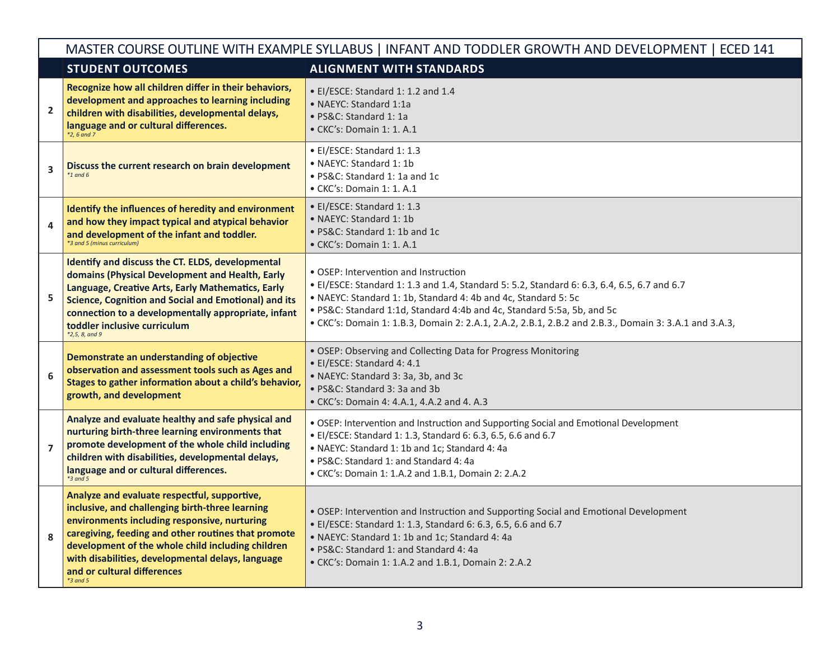|                | MASTER COURSE OUTLINE WITH EXAMPLE SYLLABUS   INFANT AND TODDLER GROWTH AND DEVELOPMENT   ECED 141                                                                                                                                                                                                                                                            |                                                                                                                                                                                                                                                                                                                                                                                          |  |  |  |
|----------------|---------------------------------------------------------------------------------------------------------------------------------------------------------------------------------------------------------------------------------------------------------------------------------------------------------------------------------------------------------------|------------------------------------------------------------------------------------------------------------------------------------------------------------------------------------------------------------------------------------------------------------------------------------------------------------------------------------------------------------------------------------------|--|--|--|
|                | <b>STUDENT OUTCOMES</b>                                                                                                                                                                                                                                                                                                                                       | <b>ALIGNMENT WITH STANDARDS</b>                                                                                                                                                                                                                                                                                                                                                          |  |  |  |
| $\overline{2}$ | Recognize how all children differ in their behaviors,<br>development and approaches to learning including<br>children with disabilities, developmental delays,<br>language and or cultural differences.<br>$*2.6$ and 7                                                                                                                                       | • EI/ESCE: Standard 1: 1.2 and 1.4<br>• NAEYC: Standard 1:1a<br>· PS&C: Standard 1: 1a<br>• CKC's: Domain 1: 1. A.1                                                                                                                                                                                                                                                                      |  |  |  |
| 3              | Discuss the current research on brain development<br>$*1$ and 6                                                                                                                                                                                                                                                                                               | • EI/ESCE: Standard 1: 1.3<br>• NAEYC: Standard 1: 1b<br>• PS&C: Standard 1: 1a and 1c<br>$\bullet$ CKC's: Domain 1: 1. A.1                                                                                                                                                                                                                                                              |  |  |  |
| 4              | Identify the influences of heredity and environment<br>and how they impact typical and atypical behavior<br>and development of the infant and toddler.<br>*3 and 5 (minus curriculum)                                                                                                                                                                         | • El/ESCE: Standard 1: 1.3<br>• NAEYC: Standard 1: 1b<br>• PS&C: Standard 1: 1b and 1c<br>$\bullet$ CKC's: Domain 1: 1. A.1                                                                                                                                                                                                                                                              |  |  |  |
| 5              | Identify and discuss the CT. ELDS, developmental<br>domains (Physical Development and Health, Early<br>Language, Creative Arts, Early Mathematics, Early<br><b>Science, Cognition and Social and Emotional) and its</b><br>connection to a developmentally appropriate, infant<br>toddler inclusive curriculum<br>$*2,5,8, and9$                              | • OSEP: Intervention and Instruction<br>• El/ESCE: Standard 1: 1.3 and 1.4, Standard 5: 5.2, Standard 6: 6.3, 6.4, 6.5, 6.7 and 6.7<br>• NAEYC: Standard 1: 1b, Standard 4: 4b and 4c, Standard 5: 5c<br>. PS&C: Standard 1:1d, Standard 4:4b and 4c, Standard 5:5a, 5b, and 5c<br>• CKC's: Domain 1: 1.B.3, Domain 2: 2.A.1, 2.A.2, 2.B.1, 2.B.2 and 2.B.3., Domain 3: 3.A.1 and 3.A.3, |  |  |  |
| 6              | Demonstrate an understanding of objective<br>observation and assessment tools such as Ages and<br>Stages to gather information about a child's behavior,<br>growth, and development                                                                                                                                                                           | • OSEP: Observing and Collecting Data for Progress Monitoring<br>· EI/ESCE: Standard 4: 4.1<br>• NAEYC: Standard 3: 3a, 3b, and 3c<br>• PS&C: Standard 3: 3a and 3b<br>• CKC's: Domain 4: 4.A.1, 4.A.2 and 4. A.3                                                                                                                                                                        |  |  |  |
| $\overline{7}$ | Analyze and evaluate healthy and safe physical and<br>nurturing birth-three learning environments that<br>promote development of the whole child including<br>children with disabilities, developmental delays,<br>language and or cultural differences.<br>$*3$ and 5                                                                                        | . OSEP: Intervention and Instruction and Supporting Social and Emotional Development<br>• El/ESCE: Standard 1: 1.3, Standard 6: 6.3, 6.5, 6.6 and 6.7<br>• NAEYC: Standard 1: 1b and 1c; Standard 4: 4a<br>• PS&C: Standard 1: and Standard 4: 4a<br>• CKC's: Domain 1: 1.A.2 and 1.B.1, Domain 2: 2.A.2                                                                                 |  |  |  |
| 8              | Analyze and evaluate respectful, supportive,<br>inclusive, and challenging birth-three learning<br>environments including responsive, nurturing<br>caregiving, feeding and other routines that promote<br>development of the whole child including children<br>with disabilities, developmental delays, language<br>and or cultural differences<br>$*3$ and 5 | . OSEP: Intervention and Instruction and Supporting Social and Emotional Development<br>• EI/ESCE: Standard 1: 1.3, Standard 6: 6.3, 6.5, 6.6 and 6.7<br>• NAEYC: Standard 1: 1b and 1c; Standard 4: 4a<br>• PS&C: Standard 1: and Standard 4: 4a<br>• CKC's: Domain 1: 1.A.2 and 1.B.1, Domain 2: 2.A.2                                                                                 |  |  |  |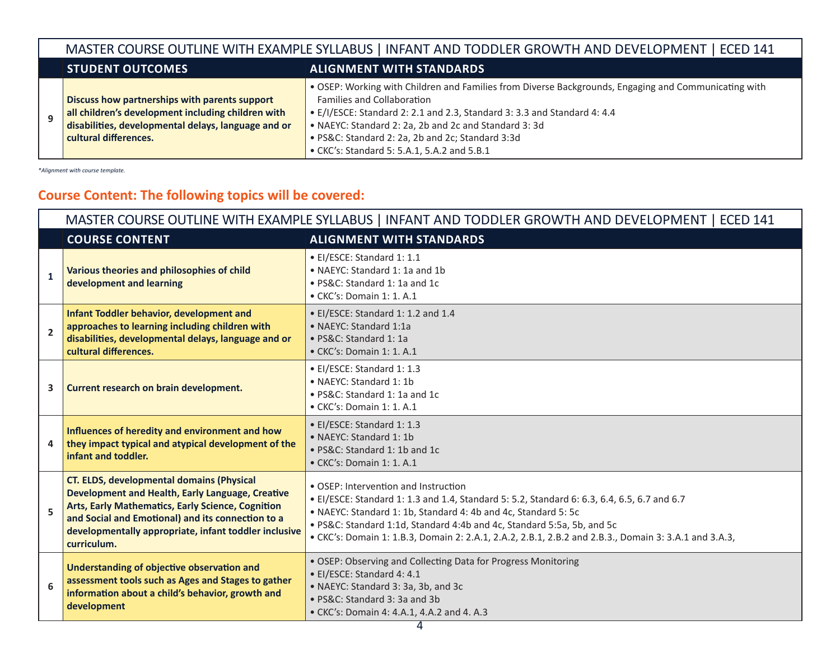# MASTER COURSE OUTLINE WITH EXAMPLE SYLLABUS | INFANT AND TODDLER GROWTH AND DEVELOPMENT | ECED 141

• E/I/ESCE: Standard 2: 2.1 and 2.3, Standard 3: 3.3 and Standard 4: 4.4

• OSEP: Working with Children and Families from Diverse Backgrounds, Engaging and Communicating with

#### **STUDENT OUTCOMES ALIGNMENT WITH STANDARDS**

Families and Collaboration

- **Discuss how partnerships with parents support all children's development including children with**
- **9 disabilities, developmental delays, language and or cultural differences.**
- NAEYC: Standard 2: 2a, 2b and 2c and Standard 3: 3d • PS&C: Standard 2: 2a, 2b and 2c; Standard 3:3d
- CKC's: Standard 5: 5.A.1, 5.A.2 and 5.B.1

*\*Alignment with course template.*

# **Course Content: The following topics will be covered:**

|                | MASTER COURSE OUTLINE WITH EXAMPLE SYLLABUS   INFANT AND TODDLER GROWTH AND DEVELOPMENT   ECED 141                                                                                                                                                                                            |                                                                                                                                                                                                                                                                                                                                                                                          |  |  |  |
|----------------|-----------------------------------------------------------------------------------------------------------------------------------------------------------------------------------------------------------------------------------------------------------------------------------------------|------------------------------------------------------------------------------------------------------------------------------------------------------------------------------------------------------------------------------------------------------------------------------------------------------------------------------------------------------------------------------------------|--|--|--|
|                | <b>COURSE CONTENT</b>                                                                                                                                                                                                                                                                         | <b>ALIGNMENT WITH STANDARDS</b>                                                                                                                                                                                                                                                                                                                                                          |  |  |  |
| $\mathbf{1}$   | Various theories and philosophies of child<br>development and learning                                                                                                                                                                                                                        | • EI/ESCE: Standard 1: 1.1<br>• NAEYC: Standard 1: 1a and 1b<br>• PS&C: Standard 1: 1a and 1c<br>$\bullet$ CKC's: Domain 1: 1. A.1                                                                                                                                                                                                                                                       |  |  |  |
| $\overline{2}$ | Infant Toddler behavior, development and<br>approaches to learning including children with<br>disabilities, developmental delays, language and or<br>cultural differences.                                                                                                                    | • EI/ESCE: Standard 1: 1.2 and 1.4<br>• NAEYC: Standard 1:1a<br>· PS&C: Standard 1: 1a<br>• CKC's: Domain 1: 1. A.1                                                                                                                                                                                                                                                                      |  |  |  |
| 3              | Current research on brain development.                                                                                                                                                                                                                                                        | • EI/ESCE: Standard 1: 1.3<br>• NAEYC: Standard 1: 1b<br>• PS&C: Standard 1: 1a and 1c<br>$\bullet$ CKC's: Domain 1: 1. A.1                                                                                                                                                                                                                                                              |  |  |  |
| 4              | Influences of heredity and environment and how<br>they impact typical and atypical development of the<br>infant and toddler.                                                                                                                                                                  | • El/ESCE: Standard 1: 1.3<br>• NAEYC: Standard 1: 1b<br>• PS&C: Standard 1: 1b and 1c<br>· CKC's: Domain 1: 1. A.1                                                                                                                                                                                                                                                                      |  |  |  |
| 5              | <b>CT. ELDS, developmental domains (Physical</b><br><b>Development and Health, Early Language, Creative</b><br>Arts, Early Mathematics, Early Science, Cognition<br>and Social and Emotional) and its connection to a<br>developmentally appropriate, infant toddler inclusive<br>curriculum. | • OSEP: Intervention and Instruction<br>• EI/ESCE: Standard 1: 1.3 and 1.4, Standard 5: 5.2, Standard 6: 6.3, 6.4, 6.5, 6.7 and 6.7<br>• NAEYC: Standard 1: 1b, Standard 4: 4b and 4c, Standard 5: 5c<br>. PS&C: Standard 1:1d, Standard 4:4b and 4c, Standard 5:5a, 5b, and 5c<br>• CKC's: Domain 1: 1.B.3, Domain 2: 2.A.1, 2.A.2, 2.B.1, 2.B.2 and 2.B.3., Domain 3: 3.A.1 and 3.A.3, |  |  |  |
| 6              | Understanding of objective observation and<br>assessment tools such as Ages and Stages to gather<br>information about a child's behavior, growth and<br>development                                                                                                                           | • OSEP: Observing and Collecting Data for Progress Monitoring<br>• EI/ESCE: Standard 4: 4.1<br>• NAEYC: Standard 3: 3a, 3b, and 3c<br>• PS&C: Standard 3: 3a and 3b<br>• CKC's: Domain 4: 4.A.1, 4.A.2 and 4. A.3                                                                                                                                                                        |  |  |  |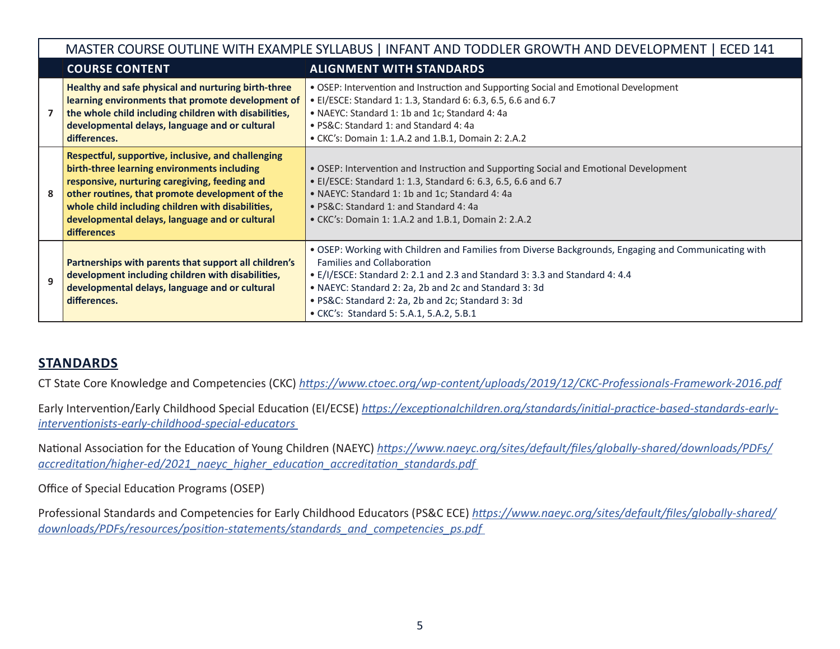|   | MASTER COURSE OUTLINE WITH EXAMPLE SYLLABUS   INFANT AND TODDLER GROWTH AND DEVELOPMENT   ECED 141                                                                                                                                                                                                                                 |                                                                                                                                                                                                                                                                                                                                                                                    |  |  |  |
|---|------------------------------------------------------------------------------------------------------------------------------------------------------------------------------------------------------------------------------------------------------------------------------------------------------------------------------------|------------------------------------------------------------------------------------------------------------------------------------------------------------------------------------------------------------------------------------------------------------------------------------------------------------------------------------------------------------------------------------|--|--|--|
|   | <b>COURSE CONTENT</b>                                                                                                                                                                                                                                                                                                              | <b>ALIGNMENT WITH STANDARDS</b>                                                                                                                                                                                                                                                                                                                                                    |  |  |  |
|   | Healthy and safe physical and nurturing birth-three<br>learning environments that promote development of<br>the whole child including children with disabilities,<br>developmental delays, language and or cultural<br>differences.                                                                                                | • OSEP: Intervention and Instruction and Supporting Social and Emotional Development<br>• EI/ESCE: Standard 1: 1.3, Standard 6: 6.3, 6.5, 6.6 and 6.7<br>• NAEYC: Standard 1: 1b and 1c; Standard 4: 4a<br>• PS&C: Standard 1: and Standard 4: 4a<br>• CKC's: Domain 1: 1.A.2 and 1.B.1, Domain 2: 2.A.2                                                                           |  |  |  |
| 8 | Respectful, supportive, inclusive, and challenging<br>birth-three learning environments including<br>responsive, nurturing caregiving, feeding and<br>other routines, that promote development of the<br>whole child including children with disabilities,<br>developmental delays, language and or cultural<br><b>differences</b> | • OSEP: Intervention and Instruction and Supporting Social and Emotional Development<br>• EI/ESCE: Standard 1: 1.3, Standard 6: 6.3, 6.5, 6.6 and 6.7<br>• NAEYC: Standard 1: 1b and 1c; Standard 4: 4a<br>• PS&C: Standard 1: and Standard 4: 4a<br>• CKC's: Domain 1: 1.A.2 and 1.B.1, Domain 2: 2.A.2                                                                           |  |  |  |
| q | Partnerships with parents that support all children's<br>development including children with disabilities,<br>developmental delays, language and or cultural<br>differences.                                                                                                                                                       | . OSEP: Working with Children and Families from Diverse Backgrounds, Engaging and Communicating with<br><b>Families and Collaboration</b><br>• E/I/ESCE: Standard 2: 2.1 and 2.3 and Standard 3: 3.3 and Standard 4: 4.4<br>• NAEYC: Standard 2: 2a, 2b and 2c and Standard 3: 3d<br>· PS&C: Standard 2: 2a, 2b and 2c; Standard 3: 3d<br>• CKC's: Standard 5: 5.A.1, 5.A.2, 5.B.1 |  |  |  |

# **STANDARDS**

CT State Core Knowledge and Competencies (CKC) *<https://www.ctoec.org/wp-content/uploads/2019/12/CKC-Professionals-Framework-2016.pdf>*

Early Intervention/Early Childhood Special Education (EI/ECSE) *[https://exceptionalchildren.org/standards/initial-practice-based-standards-early](https://exceptionalchildren.org/standards/initial-practice-based-standards-early-interventionists-early-childhood-special-educators)[interventionists-early-childhood-special-educators](https://exceptionalchildren.org/standards/initial-practice-based-standards-early-interventionists-early-childhood-special-educators)* 

National Association for the Education of Young Children (NAEYC) *[https://www.naeyc.org/sites/default/files/globally-shared/downloads/PDFs/](https://www.naeyc.org/sites/default/files/globally-shared/downloads/PDFs/accreditation/higher-ed/2021_naeyc_higher_education_accreditation_standards.pdf) [accreditation/higher-ed/2021\\_naeyc\\_higher\\_education\\_accreditation\\_standards.pdf](https://www.naeyc.org/sites/default/files/globally-shared/downloads/PDFs/accreditation/higher-ed/2021_naeyc_higher_education_accreditation_standards.pdf)* 

Office of Special Education Programs (OSEP)

Professional Standards and Competencies for Early Childhood Educators (PS&C ECE) *[https://www.naeyc.org/sites/default/files/globally-shared/](https://www.naeyc.org/sites/default/files/globally-shared/downloads/PDFs/resources/position-statements/standards_and_competencies_ps.pdf) [downloads/PDFs/resources/position-statements/standards\\_and\\_competencies\\_ps.pdf](https://www.naeyc.org/sites/default/files/globally-shared/downloads/PDFs/resources/position-statements/standards_and_competencies_ps.pdf)*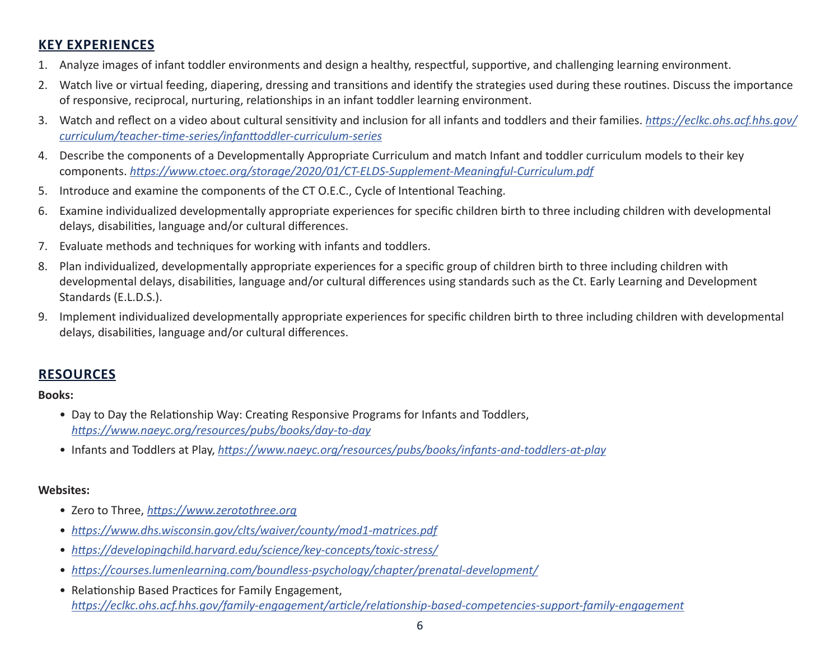# **KEY EXPERIENCES**

- 1. Analyze images of infant toddler environments and design a healthy, respectful, supportive, and challenging learning environment.
- 2. Watch live or virtual feeding, diapering, dressing and transitions and identify the strategies used during these routines. Discuss the importance of responsive, reciprocal, nurturing, relationships in an infant toddler learning environment.
- 3. Watch and reflect on a video about cultural sensitivity and inclusion for all infants and toddlers and their families. *[https://eclkc.ohs.acf.hhs.gov/](https://eclkc.ohs.acf.hhs.gov/curriculum/teacher-time-series/infanttoddler-curriculum-series) [curriculum/teacher-time-series/infanttoddler-curriculum-series](https://eclkc.ohs.acf.hhs.gov/curriculum/teacher-time-series/infanttoddler-curriculum-series)*
- 4. Describe the components of a Developmentally Appropriate Curriculum and match Infant and toddler curriculum models to their key components. *<https://www.ctoec.org/storage/2020/01/CT-ELDS-Supplement-Meaningful-Curriculum.pdf>*
- 5. Introduce and examine the components of the CT O.E.C., Cycle of Intentional Teaching.
- 6. Examine individualized developmentally appropriate experiences for specific children birth to three including children with developmental delays, disabilities, language and/or cultural differences.
- 7. Evaluate methods and techniques for working with infants and toddlers.
- 8. Plan individualized, developmentally appropriate experiences for a specific group of children birth to three including children with developmental delays, disabilities, language and/or cultural differences using standards such as the Ct. Early Learning and Development Standards (E.L.D.S.).
- 9. Implement individualized developmentally appropriate experiences for specific children birth to three including children with developmental delays, disabilities, language and/or cultural differences.

# **RESOURCES**

#### **Books:**

- Day to Day the Relationship Way: Creating Responsive Programs for Infants and Toddlers, *<https://www.naeyc.org/resources/pubs/books/day-to-day>*
- Infants and Toddlers at Play, *<https://www.naeyc.org/resources/pubs/books/infants-and-toddlers-at-play>*

## **Websites:**

- Zero to Three, *<https://www.zerotothree.org>*
- *<https://www.dhs.wisconsin.gov/clts/waiver/county/mod1-matrices.pdf>*
- *<https://developingchild.harvard.edu/science/key-concepts/toxic-stress/>*
- *[https://courses.lumenlearning.com/boundless-psychology/chapter/prenatal-development/](https://developingchild.harvard.edu/science/key-concepts/toxic-stress/)*
- Relationship Based Practices for Family Engagement, *[https://eclkc.ohs.acf.hhs.gov/family-engagement/article/relationship-based-competencies-support-family-engagement](https://eclkc.ohs.acf.hhs.gov/family-engagement/relationship-based-competencies-support-family-engagement/relationship-based-competencies-support-family-engagement)*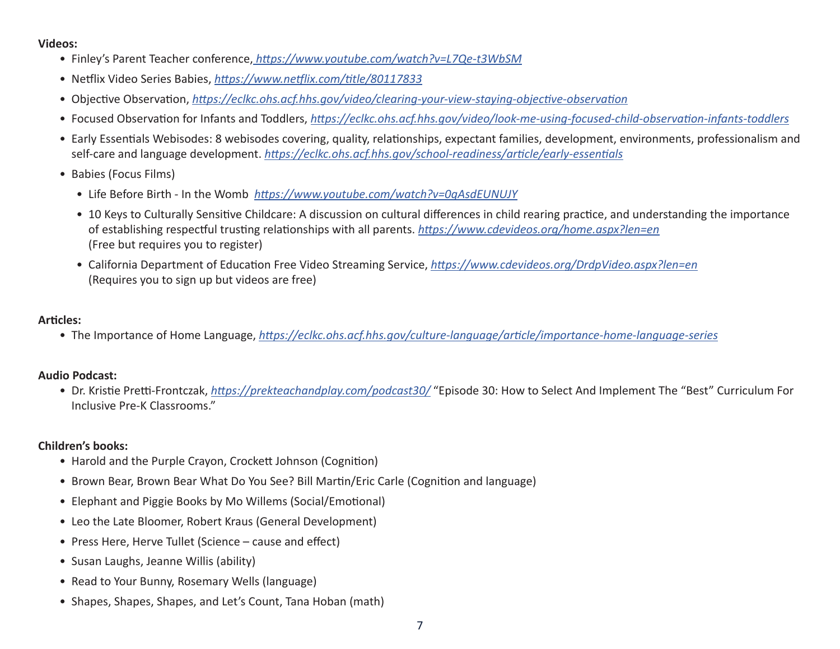#### **Videos:**

- Finley's Parent Teacher conference,*<https://www.youtube.com/watch?v=L7Qe-t3WbSM>*
- Netflix Video Series Babies, *<https://www.netflix.com/title/80117833>*
- Objective Observation, *<https://eclkc.ohs.acf.hhs.gov/video/clearing-your-view-staying-objective-observation>*
- Focused Observation for Infants and Toddlers, *<https://eclkc.ohs.acf.hhs.gov/video/look-me-using-focused-child-observation-infants-toddlers>*
- Early Essentials Webisodes: 8 webisodes covering, quality, relationships, expectant families, development, environments, professionalism and self-care and language development. *<https://eclkc.ohs.acf.hhs.gov/school-readiness/article/early-essentials>*
- Babies (Focus Films)
	- Life Before Birth In the Womb *<https://www.youtube.com/watch?v=0gAsdEUNUJY>*
	- 10 Keys to Culturally Sensitive Childcare: A discussion on cultural differences in child rearing practice, and understanding the importance of establishing respectful trusting relationships with all parents. *<https://www.cdevideos.org/home.aspx?len=en>* (Free but requires you to register)
	- California Department of Education Free Video Streaming Service, *<https://www.cdevideos.org/DrdpVideo.aspx?len=en>* (Requires you to sign up but videos are free)

### **Articles:**

• The Importance of Home Language, *<https://eclkc.ohs.acf.hhs.gov/culture-language/article/importance-home-language-series>*

#### **Audio Podcast:**

• Dr. Kristie Pretti-Frontczak, *<https://prekteachandplay.com/podcast30/>* "Episode 30: How to Select And Implement The "Best" Curriculum For Inclusive Pre-K Classrooms."

## **Children's books:**

- Harold and the Purple Crayon, Crockett Johnson (Cognition)
- Brown Bear, Brown Bear What Do You See? Bill Martin/Eric Carle (Cognition and language)
- Elephant and Piggie Books by Mo Willems (Social/Emotional)
- Leo the Late Bloomer, Robert Kraus (General Development)
- Press Here, Herve Tullet (Science cause and effect)
- Susan Laughs, Jeanne Willis (ability)
- Read to Your Bunny, Rosemary Wells (language)
- Shapes, Shapes, Shapes, and Let's Count, Tana Hoban (math)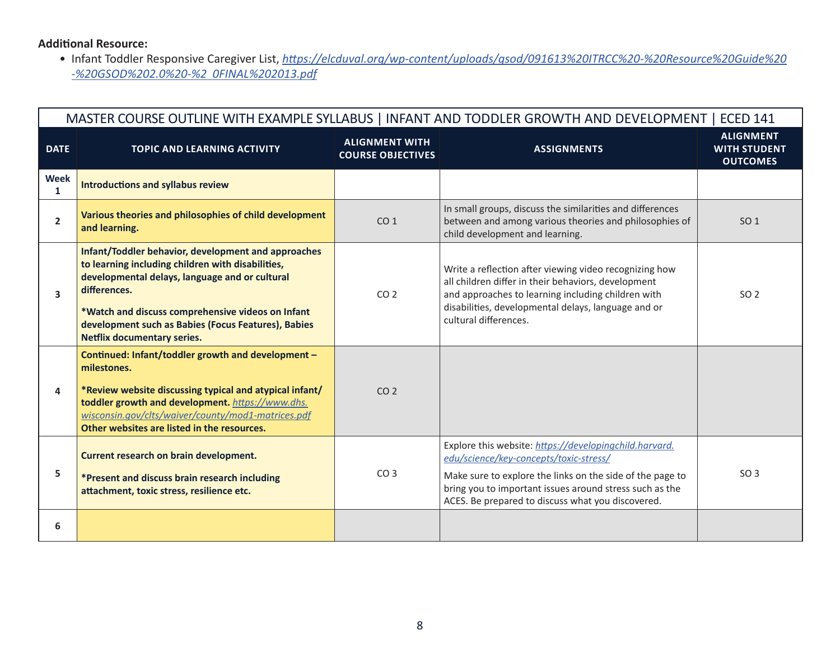## **Additional Resource:**

• Infant Toddler Responsive Caregiver List, *[https://elcduval.org/wp-content/uploads/gsod/091613%20ITRCC%20-%20Resource%20Guide%20](https://elcduval.org/wp-content/uploads/gsod/091613%20ITRCC%20-%20Resource%20Guide%20-%20GSOD%202.0%20-%20FINAL%202013.pdf) [-%20GSOD%202.0%20-%2 0FINAL%202013.pdf](https://elcduval.org/wp-content/uploads/gsod/091613%20ITRCC%20-%20Resource%20Guide%20-%20GSOD%202.0%20-%20FINAL%202013.pdf)*

| MASTER COURSE OUTLINE WITH EXAMPLE SYLLABUS   INFANT AND TODDLER GROWTH AND DEVELOPMENT   ECED 141 |                                                                                                                                                                                                                                                                                                                              |                                                   |                                                                                                                                                                                                                                                                               |                                                            |  |
|----------------------------------------------------------------------------------------------------|------------------------------------------------------------------------------------------------------------------------------------------------------------------------------------------------------------------------------------------------------------------------------------------------------------------------------|---------------------------------------------------|-------------------------------------------------------------------------------------------------------------------------------------------------------------------------------------------------------------------------------------------------------------------------------|------------------------------------------------------------|--|
| <b>DATE</b>                                                                                        | <b>TOPIC AND LEARNING ACTIVITY</b>                                                                                                                                                                                                                                                                                           | <b>ALIGNMENT WITH</b><br><b>COURSE OBJECTIVES</b> | <b>ASSIGNMENTS</b>                                                                                                                                                                                                                                                            | <b>ALIGNMENT</b><br><b>WITH STUDENT</b><br><b>OUTCOMES</b> |  |
| <b>Week</b><br>$\mathbf{1}$                                                                        | <b>Introductions and syllabus review</b>                                                                                                                                                                                                                                                                                     |                                                   |                                                                                                                                                                                                                                                                               |                                                            |  |
| $\overline{2}$                                                                                     | Various theories and philosophies of child development<br>and learning.                                                                                                                                                                                                                                                      | CO <sub>1</sub>                                   | In small groups, discuss the similarities and differences<br>between and among various theories and philosophies of<br>child development and learning.                                                                                                                        | SO <sub>1</sub>                                            |  |
| 3                                                                                                  | Infant/Toddler behavior, development and approaches<br>to learning including children with disabilities,<br>developmental delays, language and or cultural<br>differences.<br>*Watch and discuss comprehensive videos on Infant<br>development such as Babies (Focus Features), Babies<br><b>Netflix documentary series.</b> | CO <sub>2</sub>                                   | Write a reflection after viewing video recognizing how<br>all children differ in their behaviors, development<br>and approaches to learning including children with<br>disabilities, developmental delays, language and or<br>cultural differences.                           | SO 2                                                       |  |
| 4                                                                                                  | Continued: Infant/toddler growth and development -<br>milestones.<br>*Review website discussing typical and atypical infant/<br>toddler growth and development. https://www.dhs.<br>wisconsin.gov/clts/waiver/county/mod1-matrices.pdf<br>Other websites are listed in the resources.                                        | CO <sub>2</sub>                                   |                                                                                                                                                                                                                                                                               |                                                            |  |
| 5                                                                                                  | Current research on brain development.<br>*Present and discuss brain research including<br>attachment, toxic stress, resilience etc.                                                                                                                                                                                         | CO <sub>3</sub>                                   | Explore this website: https://developingchild.harvard.<br>edu/science/key-concepts/toxic-stress/<br>Make sure to explore the links on the side of the page to<br>bring you to important issues around stress such as the<br>ACES. Be prepared to discuss what you discovered. | SO <sub>3</sub>                                            |  |
| 6                                                                                                  |                                                                                                                                                                                                                                                                                                                              |                                                   |                                                                                                                                                                                                                                                                               |                                                            |  |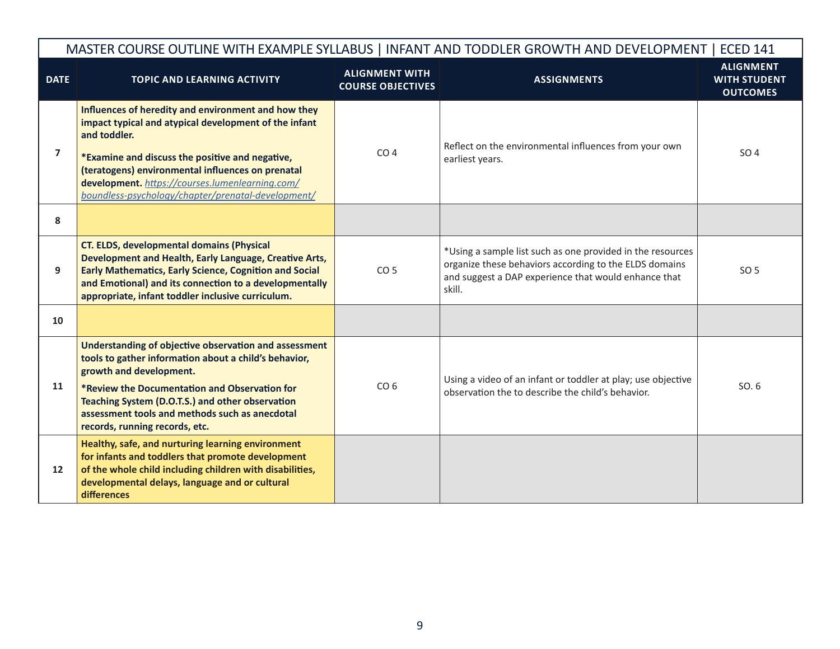|                | MASTER COURSE OUTLINE WITH EXAMPLE SYLLABUS   INFANT AND TODDLER GROWTH AND DEVELOPMENT   ECED 141                                                                                                                                                                                                                                            |                                                   |                                                                                                                                                                                        |                                                            |  |  |
|----------------|-----------------------------------------------------------------------------------------------------------------------------------------------------------------------------------------------------------------------------------------------------------------------------------------------------------------------------------------------|---------------------------------------------------|----------------------------------------------------------------------------------------------------------------------------------------------------------------------------------------|------------------------------------------------------------|--|--|
| <b>DATE</b>    | <b>TOPIC AND LEARNING ACTIVITY</b>                                                                                                                                                                                                                                                                                                            | <b>ALIGNMENT WITH</b><br><b>COURSE OBJECTIVES</b> | <b>ASSIGNMENTS</b>                                                                                                                                                                     | <b>ALIGNMENT</b><br><b>WITH STUDENT</b><br><b>OUTCOMES</b> |  |  |
| $\overline{7}$ | Influences of heredity and environment and how they<br>impact typical and atypical development of the infant<br>and toddler.<br>*Examine and discuss the positive and negative,<br>(teratogens) environmental influences on prenatal<br>development. https://courses.lumenlearning.com/<br>boundless-psychology/chapter/prenatal-development/ | CO <sub>4</sub>                                   | Reflect on the environmental influences from your own<br>earliest years.                                                                                                               | SO 4                                                       |  |  |
| 8              |                                                                                                                                                                                                                                                                                                                                               |                                                   |                                                                                                                                                                                        |                                                            |  |  |
| 9              | <b>CT. ELDS, developmental domains (Physical</b><br>Development and Health, Early Language, Creative Arts,<br><b>Early Mathematics, Early Science, Cognition and Social</b><br>and Emotional) and its connection to a developmentally<br>appropriate, infant toddler inclusive curriculum.                                                    | CO <sub>5</sub>                                   | *Using a sample list such as one provided in the resources<br>organize these behaviors according to the ELDS domains<br>and suggest a DAP experience that would enhance that<br>skill. | SO 5                                                       |  |  |
| 10             |                                                                                                                                                                                                                                                                                                                                               |                                                   |                                                                                                                                                                                        |                                                            |  |  |
| 11             | Understanding of objective observation and assessment<br>tools to gather information about a child's behavior,<br>growth and development.<br>*Review the Documentation and Observation for<br>Teaching System (D.O.T.S.) and other observation<br>assessment tools and methods such as anecdotal<br>records, running records, etc.            | CO <sub>6</sub>                                   | Using a video of an infant or toddler at play; use objective<br>observation the to describe the child's behavior.                                                                      | SO. 6                                                      |  |  |
| 12             | Healthy, safe, and nurturing learning environment<br>for infants and toddlers that promote development<br>of the whole child including children with disabilities,<br>developmental delays, language and or cultural<br>differences                                                                                                           |                                                   |                                                                                                                                                                                        |                                                            |  |  |